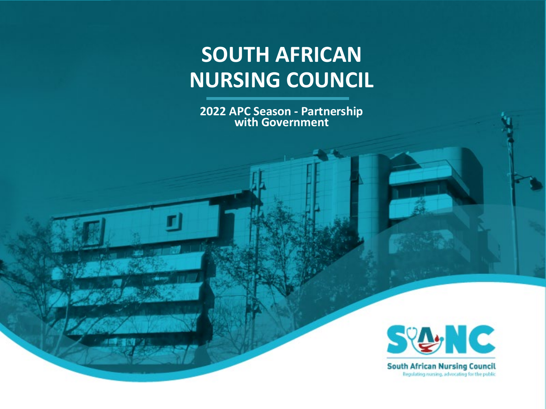# **SOUTH AFRICAN NURSING COUNCIL**

**2022 APC Season - Partnership with Government**



**South African Nursing Council** Regulating nursing, advocating for the public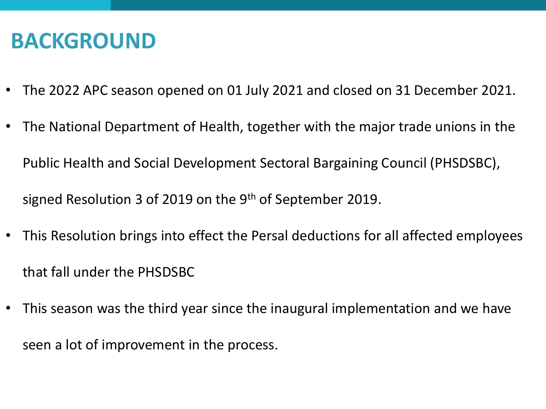# **BACKGROUND**

- The 2022 APC season opened on 01 July 2021 and closed on 31 December 2021.
- The National Department of Health, together with the major trade unions in the Public Health and Social Development Sectoral Bargaining Council (PHSDSBC), signed Resolution 3 of 2019 on the 9<sup>th</sup> of September 2019.
- This Resolution brings into effect the Persal deductions for all affected employees that fall under the PHSDSBC
- This season was the third year since the inaugural implementation and we have seen a lot of improvement in the process.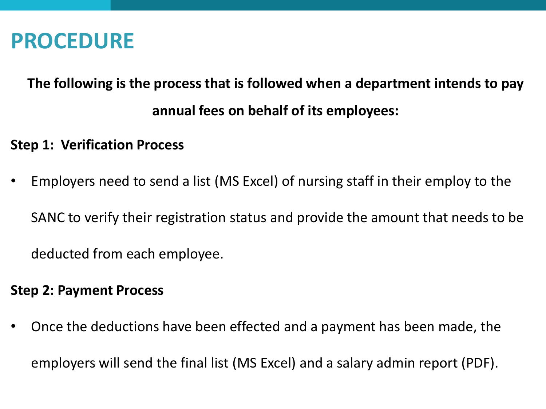#### **PROCEDURE**

#### **The following is the process that is followed when a department intends to pay annual fees on behalf of its employees:**

#### **Step 1: Verification Process**

• Employers need to send a list (MS Excel) of nursing staff in their employ to the SANC to verify their registration status and provide the amount that needs to be deducted from each employee.

#### **Step 2: Payment Process**

• Once the deductions have been effected and a payment has been made, the employers will send the final list (MS Excel) and a salary admin report (PDF).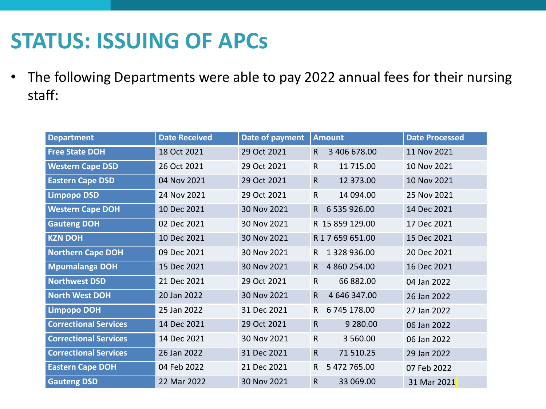# **STATUS: ISSUING OF APCs**

• The following Departments were able to pay 2022 annual fees for their nursing staff:

| <b>Department</b>            | <b>Date Received</b> | Date of payment | <b>Amount</b>                | <b>Date Processed</b> |
|------------------------------|----------------------|-----------------|------------------------------|-----------------------|
| <b>Free State DOH</b>        | 18 Oct 2021          | 29 Oct 2021     | 3 406 678.00<br>$\mathsf{R}$ | 11 Nov 2021           |
| <b>Western Cape DSD</b>      | 26 Oct 2021          | 29 Oct 2021     | $\mathsf{R}$<br>11 715.00    | 10 Nov 2021           |
| <b>Eastern Cape DSD</b>      | 04 Nov 2021          | 29 Oct 2021     | $\mathsf{R}$<br>12 373.00    | 10 Nov 2021           |
| <b>Limpopo DSD</b>           | 24 Nov 2021          | 29 Oct 2021     | $\mathsf{R}$<br>14 094.00    | 25 Nov 2021           |
| <b>Western Cape DOH</b>      | 10 Dec 2021          | 30 Nov 2021     | 6 535 926.00<br>$\mathsf{R}$ | 14 Dec 2021           |
| <b>Gauteng DOH</b>           | 02 Dec 2021          | 30 Nov 2021     | R 15 859 129.00              | 17 Dec 2021           |
| <b>KZN DOH</b>               | 10 Dec 2021          | 30 Nov 2021     | R 1 7 659 651.00             | 15 Dec 2021           |
| <b>Northern Cape DOH</b>     | 09 Dec 2021          | 30 Nov 2021     | 1 328 936.00<br>R.           | 20 Dec 2021           |
| <b>Mpumalanga DOH</b>        | 15 Dec 2021          | 30 Nov 2021     | 4 860 254.00<br>R.           | 16 Dec 2021           |
| <b>Northwest DSD</b>         | 21 Dec 2021          | 29 Oct 2021     | 66 882.00<br>$\mathsf{R}$    | 04 Jan 2022           |
| <b>North West DOH</b>        | 20 Jan 2022          | 30 Nov 2021     | 4 646 347.00<br>$\mathsf{R}$ | 26 Jan 2022           |
| <b>Limpopo DOH</b>           | 25 Jan 2022          | 31 Dec 2021     | 6 745 178.00<br>$\mathsf{R}$ | 27 Jan 2022           |
| <b>Correctional Services</b> | 14 Dec 2021          | 29 Oct 2021     | $\mathsf{R}$<br>9 2 8 0.0 0  | 06 Jan 2022           |
| <b>Correctional Services</b> | 14 Dec 2021          | 30 Nov 2021     | $\mathsf{R}$<br>3 560.00     | 06 Jan 2022           |
| <b>Correctional Services</b> | 26 Jan 2022          | 31 Dec 2021     | $\mathsf R$<br>71 510.25     | 29 Jan 2022           |
| <b>Eastern Cape DOH</b>      | 04 Feb 2022          | 21 Dec 2021     | R<br>5 472 765.00            | 07 Feb 2022           |
| <b>Gauteng DSD</b>           | 22 Mar 2022          | 30 Nov 2021     | ${\sf R}$<br>33 069.00       | 31 Mar 2021           |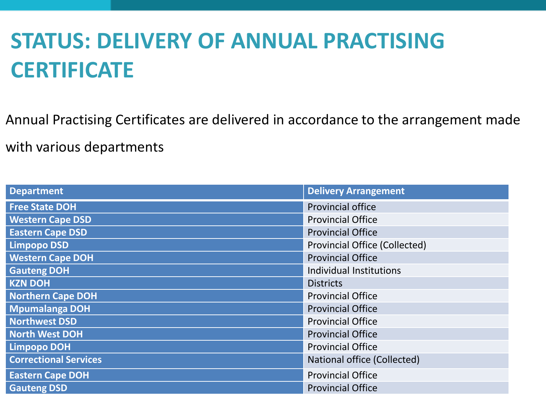# **STATUS: DELIVERY OF ANNUAL PRACTISING CERTIFICATE**

Annual Practising Certificates are delivered in accordance to the arrangement made with various departments

| <b>Department</b>            | <b>Delivery Arrangement</b>          |
|------------------------------|--------------------------------------|
| <b>Free State DOH</b>        | <b>Provincial office</b>             |
| <b>Western Cape DSD</b>      | <b>Provincial Office</b>             |
| <b>Eastern Cape DSD</b>      | <b>Provincial Office</b>             |
| <b>Limpopo DSD</b>           | <b>Provincial Office (Collected)</b> |
| <b>Western Cape DOH</b>      | <b>Provincial Office</b>             |
| <b>Gauteng DOH</b>           | Individual Institutions              |
| <b>KZN DOH</b>               | <b>Districts</b>                     |
| <b>Northern Cape DOH</b>     | <b>Provincial Office</b>             |
| <b>Mpumalanga DOH</b>        | <b>Provincial Office</b>             |
| <b>Northwest DSD</b>         | <b>Provincial Office</b>             |
| <b>North West DOH</b>        | <b>Provincial Office</b>             |
| <b>Limpopo DOH</b>           | <b>Provincial Office</b>             |
| <b>Correctional Services</b> | National office (Collected)          |
| <b>Eastern Cape DOH</b>      | <b>Provincial Office</b>             |
| <b>Gauteng DSD</b>           | <b>Provincial Office</b>             |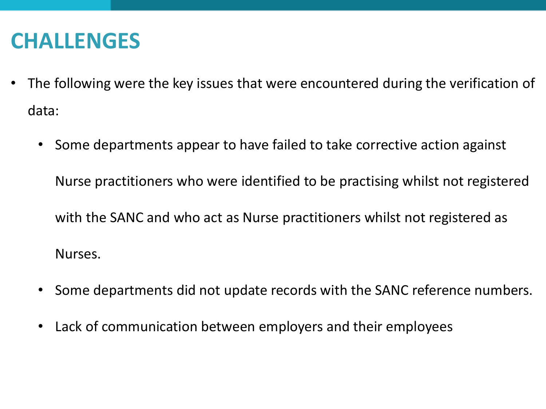#### **CHALLENGES**

- The following were the key issues that were encountered during the verification of data:
	- Some departments appear to have failed to take corrective action against

Nurse practitioners who were identified to be practising whilst not registered with the SANC and who act as Nurse practitioners whilst not registered as Nurses.

- Some departments did not update records with the SANC reference numbers.
- Lack of communication between employers and their employees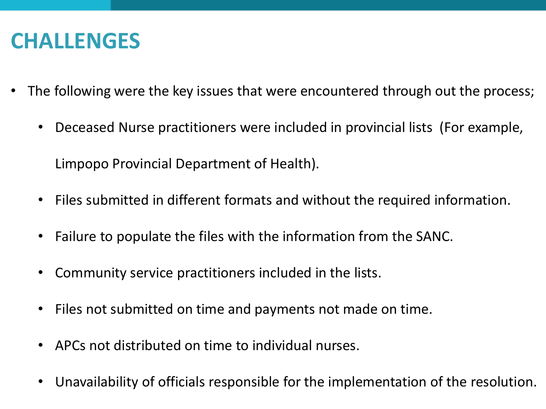# **CHALLENGES**

- The following were the key issues that were encountered through out the process;
	- Deceased Nurse practitioners were included in provincial lists (For example,

Limpopo Provincial Department of Health).

- Files submitted in different formats and without the required information.
- Failure to populate the files with the information from the SANC.
- Community service practitioners included in the lists.
- Files not submitted on time and payments not made on time.
- APCs not distributed on time to individual nurses.
- Unavailability of officials responsible for the implementation of the resolution.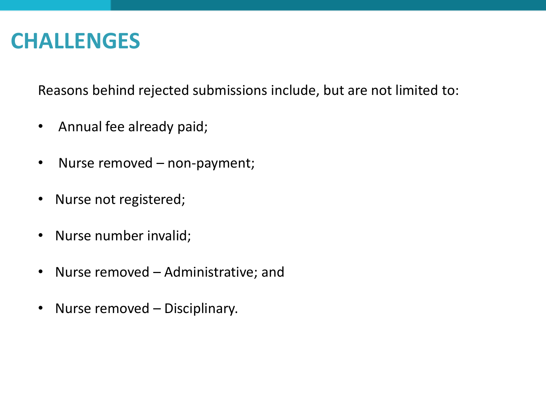#### **CHALLENGES**

Reasons behind rejected submissions include, but are not limited to:

- Annual fee already paid;
- Nurse removed non-payment;
- Nurse not registered;
- Nurse number invalid;
- Nurse removed Administrative; and
- Nurse removed Disciplinary.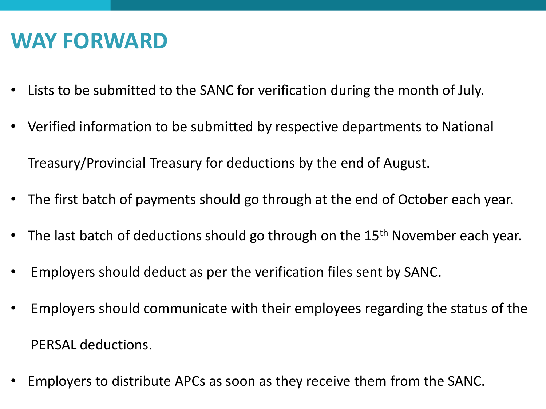#### **WAY FORWARD**

- Lists to be submitted to the SANC for verification during the month of July.
- Verified information to be submitted by respective departments to National Treasury/Provincial Treasury for deductions by the end of August.
- The first batch of payments should go through at the end of October each year.
- The last batch of deductions should go through on the 15<sup>th</sup> November each year.
- Employers should deduct as per the verification files sent by SANC.
- Employers should communicate with their employees regarding the status of the PERSAL deductions.
- Employers to distribute APCs as soon as they receive them from the SANC.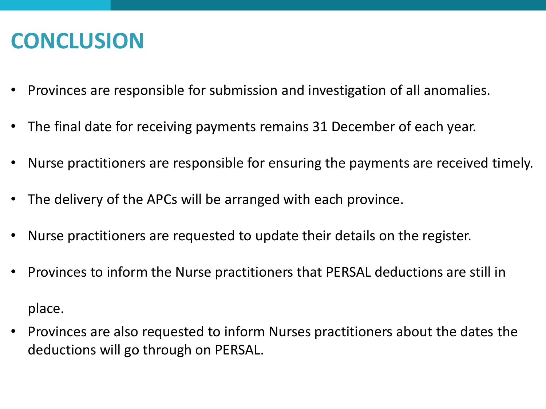# **CONCLUSION**

- Provinces are responsible for submission and investigation of all anomalies.
- The final date for receiving payments remains 31 December of each year.
- Nurse practitioners are responsible for ensuring the payments are received timely.
- The delivery of the APCs will be arranged with each province.
- Nurse practitioners are requested to update their details on the register.
- Provinces to inform the Nurse practitioners that PERSAL deductions are still in place.
- Provinces are also requested to inform Nurses practitioners about the dates the deductions will go through on PERSAL.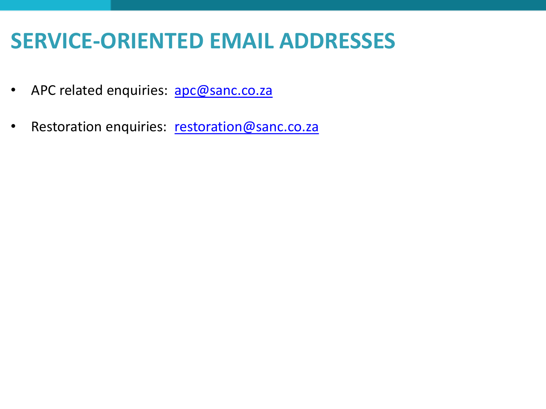# **SERVICE-ORIENTED EMAIL ADDRESSES**

- APC related enquiries: [apc@sanc.co.za](mailto:apc@sanc.co.za)
- Restoration enquiries: [restoration@sanc.co.za](mailto:restoration@sanc.co.za)